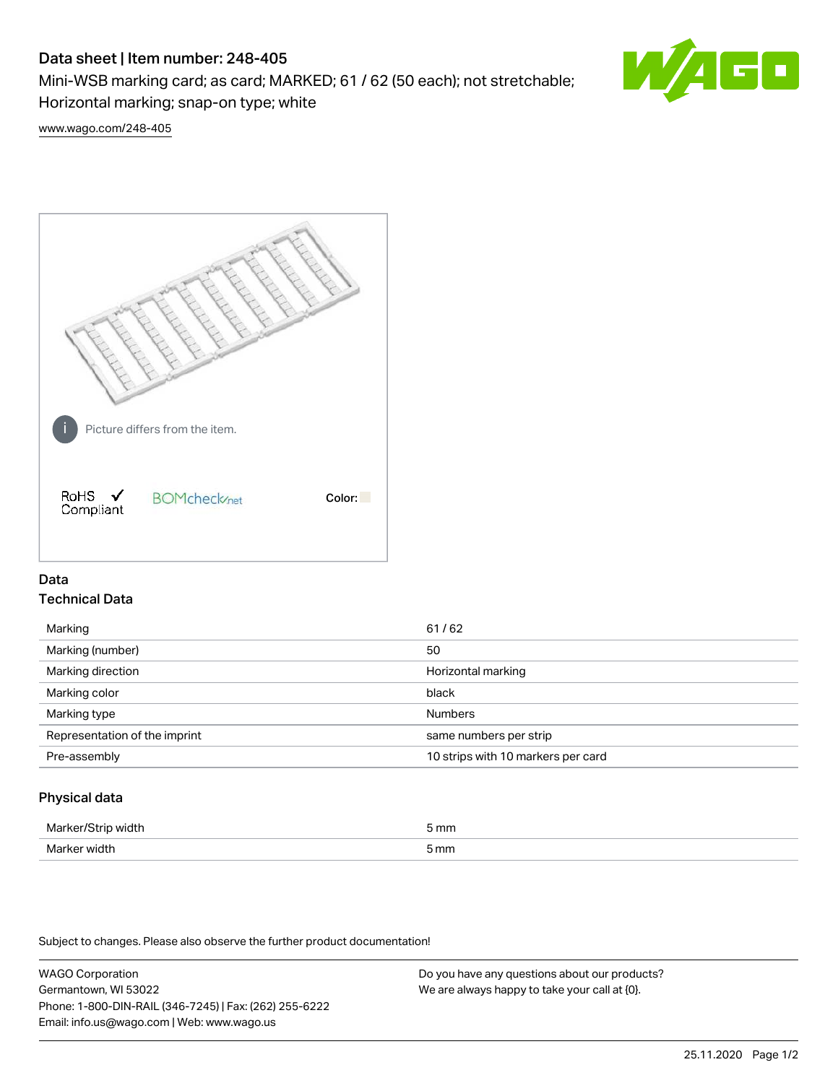# Data sheet | Item number: 248-405

Mini-WSB marking card; as card; MARKED; 61 / 62 (50 each); not stretchable; Horizontal marking; snap-on type; white



[www.wago.com/248-405](http://www.wago.com/248-405)



## Data Technical Data

| Marking                       | 61/62                              |
|-------------------------------|------------------------------------|
| Marking (number)              | 50                                 |
| Marking direction             | Horizontal marking                 |
| Marking color                 | black                              |
| Marking type                  | <b>Numbers</b>                     |
| Representation of the imprint | same numbers per strip             |
| Pre-assembly                  | 10 strips with 10 markers per card |
|                               |                                    |

## Physical data

| Marker<br><b>WINTI</b><br>י | 5 mm |
|-----------------------------|------|
| Marker width                | 5 mm |

Subject to changes. Please also observe the further product documentation!

WAGO Corporation Germantown, WI 53022 Phone: 1-800-DIN-RAIL (346-7245) | Fax: (262) 255-6222 Email: info.us@wago.com | Web: www.wago.us Do you have any questions about our products? We are always happy to take your call at {0}.